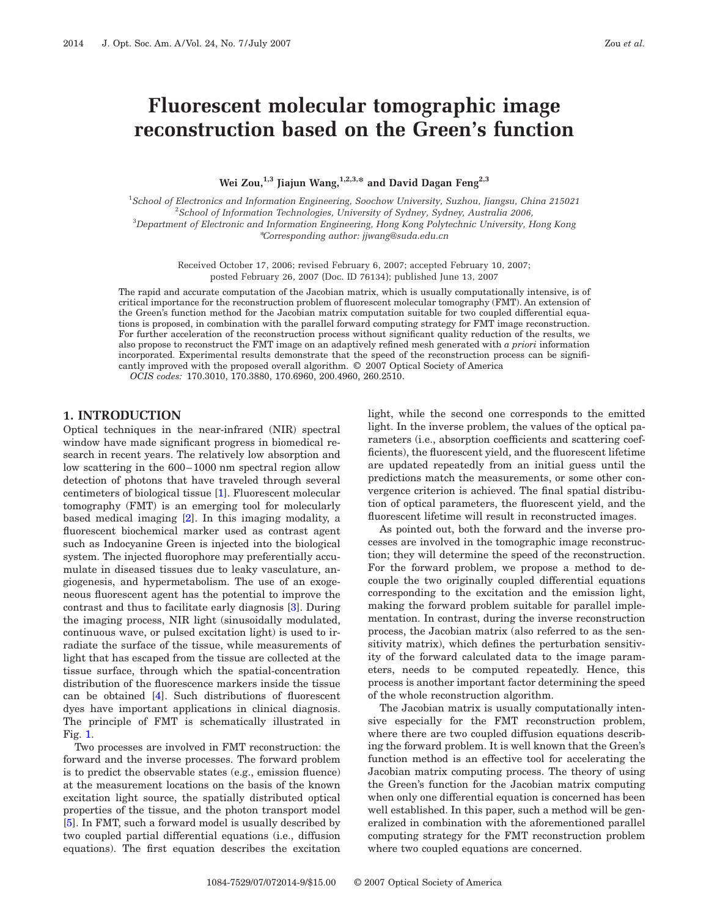# **Fluorescent molecular tomographic image reconstruction based on the Green's function**

**Wei Zou,1,3 Jiajun Wang,1,2,3,\* and David Dagan Feng2,3**

 *School of Electronics and Information Engineering, Soochow University, Suzhou, Jiangsu, China 215021 School of Information Technologies, University of Sydney, Sydney, Australia 2006, Department of Electronic and Information Engineering, Hong Kong Polytechnic University, Hong Kong* \**Corresponding author: jjwang@suda.edu.cn*

> Received October 17, 2006; revised February 6, 2007; accepted February 10, 2007; posted February 26, 2007 (Doc. ID 76134); published June 13, 2007

The rapid and accurate computation of the Jacobian matrix, which is usually computationally intensive, is of critical importance for the reconstruction problem of fluorescent molecular tomography (FMT). An extension of the Green's function method for the Jacobian matrix computation suitable for two coupled differential equations is proposed, in combination with the parallel forward computing strategy for FMT image reconstruction. For further acceleration of the reconstruction process without significant quality reduction of the results, we also propose to reconstruct the FMT image on an adaptively refined mesh generated with *a priori* information incorporated. Experimental results demonstrate that the speed of the reconstruction process can be significantly improved with the proposed overall algorithm. © 2007 Optical Society of America

*OCIS codes:* 170.3010, 170.3880, 170.6960, 200.4960, 260.2510.

# **1. INTRODUCTION**

Optical techniques in the near-infrared (NIR) spectral window have made significant progress in biomedical research in recent years. The relatively low absorption and low scattering in the 600–1000 nm spectral region allow detection of photons that have traveled through several centimeters of biological tissue [\[1\]](#page-8-0). Fluorescent molecular tomography (FMT) is an emerging tool for molecularly based medical imaging [\[2\]](#page-8-1). In this imaging modality, a fluorescent biochemical marker used as contrast agent such as Indocyanine Green is injected into the biological system. The injected fluorophore may preferentially accumulate in diseased tissues due to leaky vasculature, angiogenesis, and hypermetabolism. The use of an exogeneous fluorescent agent has the potential to improve the contrast and thus to facilitate early diagnosis [\[3\]](#page-8-2). During the imaging process, NIR light (sinusoidally modulated, continuous wave, or pulsed excitation light) is used to irradiate the surface of the tissue, while measurements of light that has escaped from the tissue are collected at the tissue surface, through which the spatial-concentration distribution of the fluorescence markers inside the tissue can be obtained [\[4\]](#page-8-3). Such distributions of fluorescent dyes have important applications in clinical diagnosis. The principle of FMT is schematically illustrated in Fig. [1.](#page-1-0)

Two processes are involved in FMT reconstruction: the forward and the inverse processes. The forward problem is to predict the observable states (e.g., emission fluence) at the measurement locations on the basis of the known excitation light source, the spatially distributed optical properties of the tissue, and the photon transport model [\[5\]](#page-8-4). In FMT, such a forward model is usually described by two coupled partial differential equations (i.e., diffusion equations). The first equation describes the excitation light, while the second one corresponds to the emitted light. In the inverse problem, the values of the optical parameters (i.e., absorption coefficients and scattering coefficients), the fluorescent yield, and the fluorescent lifetime are updated repeatedly from an initial guess until the predictions match the measurements, or some other convergence criterion is achieved. The final spatial distribution of optical parameters, the fluorescent yield, and the fluorescent lifetime will result in reconstructed images.

As pointed out, both the forward and the inverse processes are involved in the tomographic image reconstruction; they will determine the speed of the reconstruction. For the forward problem, we propose a method to decouple the two originally coupled differential equations corresponding to the excitation and the emission light, making the forward problem suitable for parallel implementation. In contrast, during the inverse reconstruction process, the Jacobian matrix (also referred to as the sensitivity matrix), which defines the perturbation sensitivity of the forward calculated data to the image parameters, needs to be computed repeatedly. Hence, this process is another important factor determining the speed of the whole reconstruction algorithm.

The Jacobian matrix is usually computationally intensive especially for the FMT reconstruction problem, where there are two coupled diffusion equations describing the forward problem. It is well known that the Green's function method is an effective tool for accelerating the Jacobian matrix computing process. The theory of using the Green's function for the Jacobian matrix computing when only one differential equation is concerned has been well established. In this paper, such a method will be generalized in combination with the aforementioned parallel computing strategy for the FMT reconstruction problem where two coupled equations are concerned.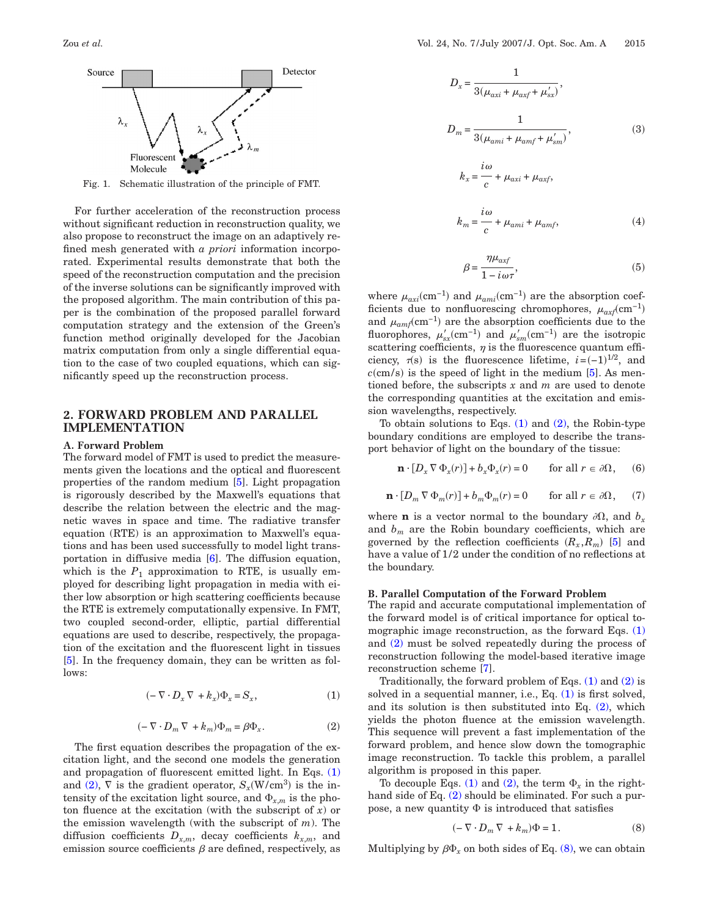<span id="page-1-0"></span>

Fig. 1. Schematic illustration of the principle of FMT.

For further acceleration of the reconstruction process without significant reduction in reconstruction quality, we also propose to reconstruct the image on an adaptively refined mesh generated with *a priori* information incorporated. Experimental results demonstrate that both the speed of the reconstruction computation and the precision of the inverse solutions can be significantly improved with the proposed algorithm. The main contribution of this paper is the combination of the proposed parallel forward computation strategy and the extension of the Green's function method originally developed for the Jacobian matrix computation from only a single differential equation to the case of two coupled equations, which can significantly speed up the reconstruction process.

# **2. FORWARD PROBLEM AND PARALLEL IMPLEMENTATION**

#### **A. Forward Problem**

The forward model of FMT is used to predict the measurements given the locations and the optical and fluorescent properties of the random medium [\[5\]](#page-8-4). Light propagation is rigorously described by the Maxwell's equations that describe the relation between the electric and the magnetic waves in space and time. The radiative transfer equation (RTE) is an approximation to Maxwell's equations and has been used successfully to model light transportation in diffusive media [\[6\]](#page-8-5). The diffusion equation, which is the  $P_1$  approximation to RTE, is usually employed for describing light propagation in media with either low absorption or high scattering coefficients because the RTE is extremely computationally expensive. In FMT, two coupled second-order, elliptic, partial differential equations are used to describe, respectively, the propagation of the excitation and the fluorescent light in tissues [\[5\]](#page-8-4). In the frequency domain, they can be written as follows:

$$
(-\nabla \cdot D_x \nabla + k_x)\Phi_x = S_x, \qquad (1)
$$

$$
(-\nabla \cdot D_m \nabla + k_m)\Phi_m = \beta \Phi_x.
$$
 (2)

<span id="page-1-2"></span><span id="page-1-1"></span>The first equation describes the propagation of the excitation light, and the second one models the generation and propagation of fluorescent emitted light. In Eqs. [\(1\)](#page-1-1) and [\(2\),](#page-1-2)  $\nabla$  is the gradient operator,  $S_x(W/cm^3)$  is the intensity of the excitation light source, and  $\Phi_{x,m}$  is the photon fluence at the excitation (with the subscript of *x*) or the emission wavelength (with the subscript of *m*). The diffusion coefficients  $D_{x,m}$ , decay coefficients  $k_{x,m}$ , and emission source coefficients  $\beta$  are defined, respectively, as

$$
D_x = \frac{1}{3(\mu_{axi} + \mu_{axf} + \mu'_{sx})},
$$
  
\n
$$
D_m = \frac{1}{3(\mu_{ami} + \mu_{amf} + \mu'_{sm})},
$$
  
\n
$$
k_x = \frac{i\omega}{c} + \mu_{axi} + \mu_{axf},
$$
  
\n
$$
i\omega
$$

$$
k_m = \frac{1}{c} + \mu_{ami} + \mu_{amf},\tag{4}
$$

$$
\beta = \frac{\eta \mu_{\alpha x f}}{1 - i \omega \tau},\tag{5}
$$

<span id="page-1-6"></span>where  $\mu_{axi}$ (cm<sup>-1</sup>) and  $\mu_{ami}$ (cm<sup>-1</sup>) are the absorption coefficients due to nonfluorescing chromophores,  $\mu_{axf}$ (cm<sup>-1</sup>) and  $\mu_{amf}$ (cm<sup>-1</sup>) are the absorption coefficients due to the fluorophores,  $\mu'_{sx}$  cm<sup>-1</sup>) and  $\mu'_{sm}$  cm<sup>-1</sup>) are the isotropic scattering coefficients,  $\eta$  is the fluorescence quantum efficiency,  $\tau(s)$  is the fluorescence lifetime,  $i=(-1)^{1/2}$ , and  $c$ (cm/s) is the speed of light in the medium  $[5]$ . As mentioned before, the subscripts *x* and *m* are used to denote the corresponding quantities at the excitation and emission wavelengths, respectively.

<span id="page-1-4"></span>To obtain solutions to Eqs.  $(1)$  and  $(2)$ , the Robin-type boundary conditions are employed to describe the transport behavior of light on the boundary of the tissue:

$$
\mathbf{n} \cdot [D_x \nabla \Phi_x(r)] + b_x \Phi_x(r) = 0 \quad \text{for all } r \in \partial \Omega, \quad (6)
$$

<span id="page-1-5"></span>
$$
\mathbf{n} \cdot [D_m \nabla \Phi_m(r)] + b_m \Phi_m(r) = 0 \quad \text{for all } r \in \partial \Omega, \tag{7}
$$

where **n** is a vector normal to the boundary  $\partial\Omega$ , and  $b_x$ and  $b_m$  are the Robin boundary coefficients, which are governed by the reflection coefficients  $(R_x, R_m)$  [\[5\]](#page-8-4) and have a value of 1/2 under the condition of no reflections at the boundary.

#### **B. Parallel Computation of the Forward Problem**

The rapid and accurate computational implementation of the forward model is of critical importance for optical tomographic image reconstruction, as the forward Eqs.  $(1)$ and [\(2\)](#page-1-2) must be solved repeatedly during the process of reconstruction following the model-based iterative image reconstruction scheme [\[7\]](#page-8-6).

Traditionally, the forward problem of Eqs.  $(1)$  and  $(2)$  is solved in a sequential manner, i.e., Eq. [\(1\)](#page-1-1) is first solved, and its solution is then substituted into Eq. [\(2\),](#page-1-2) which yields the photon fluence at the emission wavelength. This sequence will prevent a fast implementation of the forward problem, and hence slow down the tomographic image reconstruction. To tackle this problem, a parallel algorithm is proposed in this paper.

To decouple Eqs. [\(1\)](#page-1-1) and [\(2\),](#page-1-2) the term  $\Phi_x$  in the right-hand side of Eq. [\(2\)](#page-1-2) should be eliminated. For such a purpose, a new quantity  $\Phi$  is introduced that satisfies

$$
(-\nabla \cdot D_m \nabla + k_m)\Phi = 1.
$$
 (8)

<span id="page-1-3"></span>Multiplying by  $\beta \Phi_x$  on both sides of Eq. [\(8\),](#page-1-3) we can obtain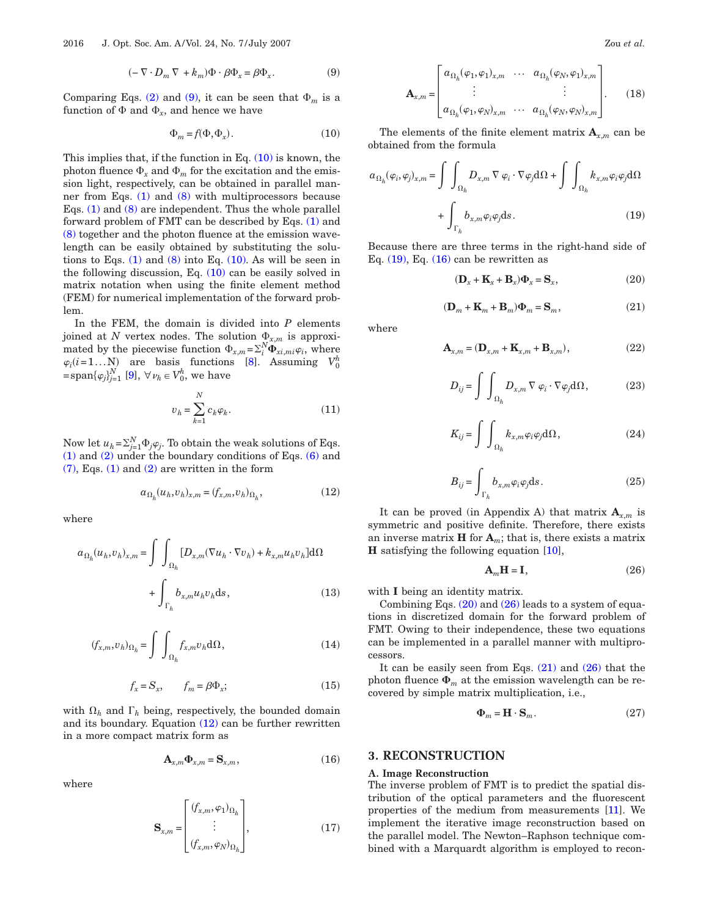$$
(-\nabla \cdot D_m \nabla + k_m)\Phi \cdot \beta \Phi_x = \beta \Phi_x.
$$
 (9)

<span id="page-2-1"></span><span id="page-2-0"></span>Comparing Eqs. [\(2\)](#page-1-2) and [\(9\),](#page-2-0) it can be seen that  $\Phi_m$  is a function of  $\Phi$  and  $\Phi_x$ , and hence we have

$$
\Phi_m = f(\Phi, \Phi_x). \tag{10}
$$

This implies that, if the function in Eq.  $(10)$  is known, the photon fluence  $\Phi_x$  and  $\Phi_m$  for the excitation and the emission light, respectively, can be obtained in parallel manner from Eqs. [\(1\)](#page-1-1) and [\(8\)](#page-1-3) with multiprocessors because Eqs. [\(1\)](#page-1-1) and [\(8\)](#page-1-3) are independent. Thus the whole parallel forward problem of FMT can be described by Eqs. [\(1\)](#page-1-1) and [\(8\)](#page-1-3) together and the photon fluence at the emission wavelength can be easily obtained by substituting the solutions to Eqs.  $(1)$  and  $(8)$  into Eq.  $(10)$ . As will be seen in the following discussion, Eq. [\(10\)](#page-2-1) can be easily solved in matrix notation when using the finite element method (FEM) for numerical implementation of the forward problem.

In the FEM, the domain is divided into *P* elements joined at *N* vertex nodes. The solution  $\Phi_{x,m}$  is approximated by the piecewise function  $\Phi_{x,m} = \sum_{i}^{N} \Phi_{xi,mi} \varphi_i$ , where  $\varphi_i(i=1...N)$  are basis functions [\[8\]](#page-8-7). Assuming  $V_0^h$  $=$ span $\{\varphi_j\}_{j=1}^N$  [\[9\]](#page-8-8),  $\forall \nu_h \in V_0^h$ , we have

$$
v_h = \sum_{k=1}^{N} c_k \varphi_k.
$$
 (11)

Now let  $u_h = \sum_{j=1}^{N} \Phi_j \varphi_j$ . To obtain the weak solutions of Eqs. [\(1\)](#page-1-1) and [\(2\)](#page-1-2) under the boundary conditions of Eqs. [\(6\)](#page-1-4) and [\(7\),](#page-1-5) Eqs. [\(1\)](#page-1-1) and [\(2\)](#page-1-2) are written in the form

$$
a_{\Omega_h}(u_h, v_h)_{x,m} = (f_{x,m}, v_h)_{\Omega_h},\tag{12}
$$

<span id="page-2-2"></span>where

$$
a_{\Omega_h}(u_h, v_h)_{x,m} = \int \int_{\Omega_h} [D_{x,m}(\nabla u_h \cdot \nabla v_h) + k_{x,m} u_h v_h] d\Omega
$$

$$
+ \int_{\Gamma_h} b_{x,m} u_h v_h ds,
$$
(13)

$$
(f_{x,m}, v_h)_{\Omega_h} = \int \int_{\Omega_h} f_{x,m} v_h \, d\Omega, \tag{14}
$$

$$
f_x = S_x, \qquad f_m = \beta \Phi_x; \tag{15}
$$

<span id="page-2-8"></span>with  $\Omega_h$  and  $\Gamma_h$  being, respectively, the bounded domain and its boundary. Equation  $(12)$  can be further rewritten in a more compact matrix form as

$$
\mathbf{A}_{x,m}\mathbf{\Phi}_{x,m} = \mathbf{S}_{x,m},\tag{16}
$$

<span id="page-2-9"></span><span id="page-2-4"></span>where

$$
\mathbf{S}_{x,m} = \begin{bmatrix} (f_{x,m}, \varphi_1)_{\Omega_h} \\ \vdots \\ (f_{x,m}, \varphi_N)_{\Omega_h} \end{bmatrix}, \tag{17}
$$

<span id="page-2-11"></span>
$$
\mathbf{A}_{x,m} = \begin{bmatrix} a_{\Omega_h}(\varphi_1, \varphi_1)_{x,m} & \cdots & a_{\Omega_h}(\varphi_N, \varphi_1)_{x,m} \\ \vdots & & \vdots \\ a_{\Omega_h}(\varphi_1, \varphi_N)_{x,m} & \cdots & a_{\Omega_h}(\varphi_N, \varphi_N)_{x,m} \end{bmatrix} . \tag{18}
$$

The elements of the finite element matrix  $\mathbf{A}_{x,m}$  can be obtained from the formula

<span id="page-2-3"></span>
$$
a_{\Omega_h}(\varphi_i, \varphi_j)_{x,m} = \int \int_{\Omega_h} D_{x,m} \nabla \varphi_i \cdot \nabla \varphi_j d\Omega + \int \int_{\Omega_h} k_{x,m} \varphi_i \varphi_j d\Omega
$$

$$
+ \int_{\Gamma_h} b_{x,m} \varphi_i \varphi_j ds. \tag{19}
$$

<span id="page-2-5"></span>Because there are three terms in the right-hand side of Eq.  $(19)$ , Eq.  $(16)$  can be rewritten as

$$
(\mathbf{D}_x + \mathbf{K}_x + \mathbf{B}_x)\mathbf{\Phi}_x = \mathbf{S}_x,\tag{20}
$$

$$
(\mathbf{D}_m + \mathbf{K}_m + \mathbf{B}_m)\Phi_m = \mathbf{S}_m,\tag{21}
$$

<span id="page-2-7"></span>where

$$
\mathbf{A}_{x,m} = (\mathbf{D}_{x,m} + \mathbf{K}_{x,m} + \mathbf{B}_{x,m}),
$$
\n(22)

$$
D_{ij} = \int \int_{\Omega_h} D_{x,m} \nabla \varphi_i \cdot \nabla \varphi_j \, d\Omega, \tag{23}
$$

$$
K_{ij} = \int \int_{\Omega_h} k_{x,m} \varphi_i \varphi_j d\Omega, \qquad (24)
$$

$$
B_{ij} = \int_{\Gamma_h} b_{x,m} \varphi_i \varphi_j \mathrm{d}s \,. \tag{25}
$$

It can be proved (in Appendix A) that matrix  $A_{x,m}$  is symmetric and positive definite. Therefore, there exists an inverse matrix **H** for  $A_m$ ; that is, there exists a matrix **H** satisfying the following equation [\[10\]](#page-8-9),

$$
\mathbf{A}_m \mathbf{H} = \mathbf{I},\tag{26}
$$

<span id="page-2-6"></span>with **I** being an identity matrix.

Combining Eqs.  $(20)$  and  $(26)$  leads to a system of equations in discretized domain for the forward problem of FMT. Owing to their independence, these two equations can be implemented in a parallel manner with multiprocessors.

<span id="page-2-10"></span>It can be easily seen from Eqs.  $(21)$  and  $(26)$  that the photon fluence  $\Phi_m$  at the emission wavelength can be recovered by simple matrix multiplication, i.e.,

$$
\mathbf{\Phi}_m = \mathbf{H} \cdot \mathbf{S}_m. \tag{27}
$$

## **3. RECONSTRUCTION**

#### **A. Image Reconstruction**

The inverse problem of FMT is to predict the spatial distribution of the optical parameters and the fluorescent properties of the medium from measurements [\[11\]](#page-8-10). We implement the iterative image reconstruction based on the parallel model. The Newton–Raphson technique combined with a Marquardt algorithm is employed to recon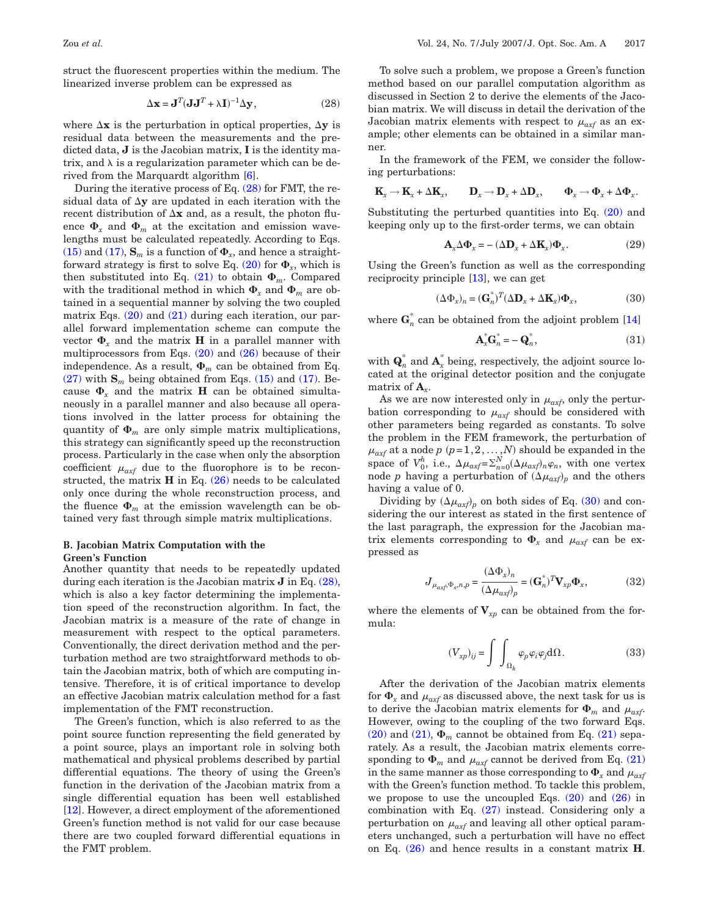<span id="page-3-0"></span>struct the fluorescent properties within the medium. The linearized inverse problem can be expressed as

$$
\Delta \mathbf{x} = \mathbf{J}^T (\mathbf{J} \mathbf{J}^T + \lambda \mathbf{I})^{-1} \Delta \mathbf{y},
$$
 (28)

where  $\Delta$ **x** is the perturbation in optical properties,  $\Delta$ **y** is residual data between the measurements and the predicted data, **J** is the Jacobian matrix, **I** is the identity matrix, and  $\lambda$  is a regularization parameter which can be derived from the Marquardt algorithm [\[6\]](#page-8-5).

During the iterative process of Eq. [\(28\)](#page-3-0) for FMT, the residual data of  $\Delta y$  are updated in each iteration with the recent distribution of  $\Delta x$  and, as a result, the photon fluence  $\Phi_x$  and  $\Phi_m$  at the excitation and emission wavelengths must be calculated repeatedly. According to Eqs. [\(15\)](#page-2-8) and [\(17\),](#page-2-9)  $\mathbf{S}_m$  is a function of  $\Phi_x$ , and hence a straightforward strategy is first to solve Eq.  $(20)$  for  $\Phi_x$ , which is then substituted into Eq.  $(21)$  to obtain  $\Phi_m$ . Compared with the traditional method in which  $\Phi_x$  and  $\Phi_m$  are obtained in a sequential manner by solving the two coupled matrix Eqs.  $(20)$  and  $(21)$  during each iteration, our parallel forward implementation scheme can compute the vector  $\Phi_x$  and the matrix **H** in a parallel manner with multiprocessors from Eqs.  $(20)$  and  $(26)$  because of their independence. As a result,  $\Phi_m$  can be obtained from Eq.  $(27)$  with  $\mathbf{S}_m$  being obtained from Eqs.  $(15)$  and  $(17)$ . Because  $\Phi_x$  and the matrix **H** can be obtained simultaneously in a parallel manner and also because all operations involved in the latter process for obtaining the quantity of  $\Phi_m$  are only simple matrix multiplications, this strategy can significantly speed up the reconstruction process. Particularly in the case when only the absorption coefficient  $\mu_{\alpha x f}$  due to the fluorophore is to be reconstructed, the matrix  $H$  in Eq.  $(26)$  needs to be calculated only once during the whole reconstruction process, and the fluence  $\Phi_m$  at the emission wavelength can be obtained very fast through simple matrix multiplications.

#### **B. Jacobian Matrix Computation with the Green's Function**

Another quantity that needs to be repeatedly updated during each iteration is the Jacobian matrix **J** in Eq. [\(28\),](#page-3-0) which is also a key factor determining the implementation speed of the reconstruction algorithm. In fact, the Jacobian matrix is a measure of the rate of change in measurement with respect to the optical parameters. Conventionally, the direct derivation method and the perturbation method are two straightforward methods to obtain the Jacobian matrix, both of which are computing intensive. Therefore, it is of critical importance to develop an effective Jacobian matrix calculation method for a fast implementation of the FMT reconstruction.

The Green's function, which is also referred to as the point source function representing the field generated by a point source, plays an important role in solving both mathematical and physical problems described by partial differential equations. The theory of using the Green's function in the derivation of the Jacobian matrix from a single differential equation has been well established [\[12\]](#page-8-11). However, a direct employment of the aforementioned Green's function method is not valid for our case because there are two coupled forward differential equations in the FMT problem.

To solve such a problem, we propose a Green's function method based on our parallel computation algorithm as discussed in Section 2 to derive the elements of the Jacobian matrix. We will discuss in detail the derivation of the Jacobian matrix elements with respect to  $\mu_{\alpha x f}$  as an example; other elements can be obtained in a similar manner.

In the framework of the FEM, we consider the following perturbations:

$$
\mathbf{K}_x \longrightarrow \mathbf{K}_x + \Delta \mathbf{K}_x, \qquad \mathbf{D}_x \longrightarrow \mathbf{D}_x + \Delta \mathbf{D}_x, \qquad \Phi_x \longrightarrow \Phi_x + \Delta \Phi_x.
$$

Substituting the perturbed quantities into Eq. [\(20\)](#page-2-5) and keeping only up to the first-order terms, we can obtain

$$
\mathbf{A}_{x} \Delta \mathbf{\Phi}_{x} = -(\Delta \mathbf{D}_{x} + \Delta \mathbf{K}_{x}) \mathbf{\Phi}_{x}.
$$
 (29)

<span id="page-3-1"></span>Using the Green's function as well as the corresponding reciprocity principle [\[13\]](#page-8-12), we can get

$$
(\Delta \Phi_x)_n = (\mathbf{G}_n^*)^T (\Delta \mathbf{D}_x + \Delta \mathbf{K}_x) \Phi_x, \tag{30}
$$

where  $\mathbf{G}_{n}^{*}$  can be obtained from the adjoint problem [\[14\]](#page-8-13)

$$
\mathbf{A}_x^* \mathbf{G}_n^* = -\mathbf{Q}_n^*,\tag{31}
$$

with  $\mathbf{Q}_n^*$  and  $\mathbf{A}_x^*$  being, respectively, the adjoint source located at the original detector position and the conjugate matrix of  $A_{x}$ .

As we are now interested only in  $\mu_{\alpha x f}$ , only the perturbation corresponding to  $\mu_{\alpha x f}$  should be considered with other parameters being regarded as constants. To solve the problem in the FEM framework, the perturbation of  $\mu_{\textit{axf}}$  at a node *p* (*p*=1,2,...,*N*) should be expanded in the space of  $V_0^h$ , i.e.,  $\Delta \mu_{axf} = \sum_{n=0}^{N} (\Delta \mu_{axf})_n \varphi_n$ , with one vertex node *p* having a perturbation of  $(\Delta \mu_{axf})_p$  and the others having a value of 0.

Dividing by  $(\Delta \mu_{axf})_p$  on both sides of Eq. [\(30\)](#page-3-1) and considering the our interest as stated in the first sentence of the last paragraph, the expression for the Jacobian matrix elements corresponding to  $\Phi_x$  and  $\mu_{\alpha x f}$  can be expressed as

$$
J_{\mu_{\alpha x \beta} \Phi_s, n, p} = \frac{(\Delta \Phi_x)_n}{(\Delta \mu_{\alpha x \beta})_p} = (\mathbf{G}_n^*)^T \mathbf{V}_{\alpha p} \Phi_x, \tag{32}
$$

<span id="page-3-2"></span>where the elements of  $V_{xp}$  can be obtained from the formula:

$$
(V_{xp})_{ij} = \int \int_{\Omega_k} \varphi_p \varphi_i \varphi_j d\Omega.
$$
 (33)

After the derivation of the Jacobian matrix elements for  $\Phi_x$  and  $\mu_{\alpha x f}$  as discussed above, the next task for us is to derive the Jacobian matrix elements for  $\Phi_m$  and  $\mu_{\alpha x f}$ . However, owing to the coupling of the two forward Eqs. [\(20\)](#page-2-5) and [\(21\),](#page-2-7)  $\Phi_m$  cannot be obtained from Eq. [\(21\)](#page-2-7) separately. As a result, the Jacobian matrix elements corresponding to  $\Phi_m$  and  $\mu_{\alpha x f}$  cannot be derived from Eq. [\(21\)](#page-2-7) in the same manner as those corresponding to  $\Phi_x$  and  $\mu_{\alpha x}$ with the Green's function method. To tackle this problem, we propose to use the uncoupled Eqs.  $(20)$  and  $(26)$  in combination with Eq. [\(27\)](#page-2-10) instead. Considering only a perturbation on  $\mu_{\alpha x f}$  and leaving all other optical parameters unchanged, such a perturbation will have no effect on Eq. [\(26\)](#page-2-6) and hence results in a constant matrix **H**.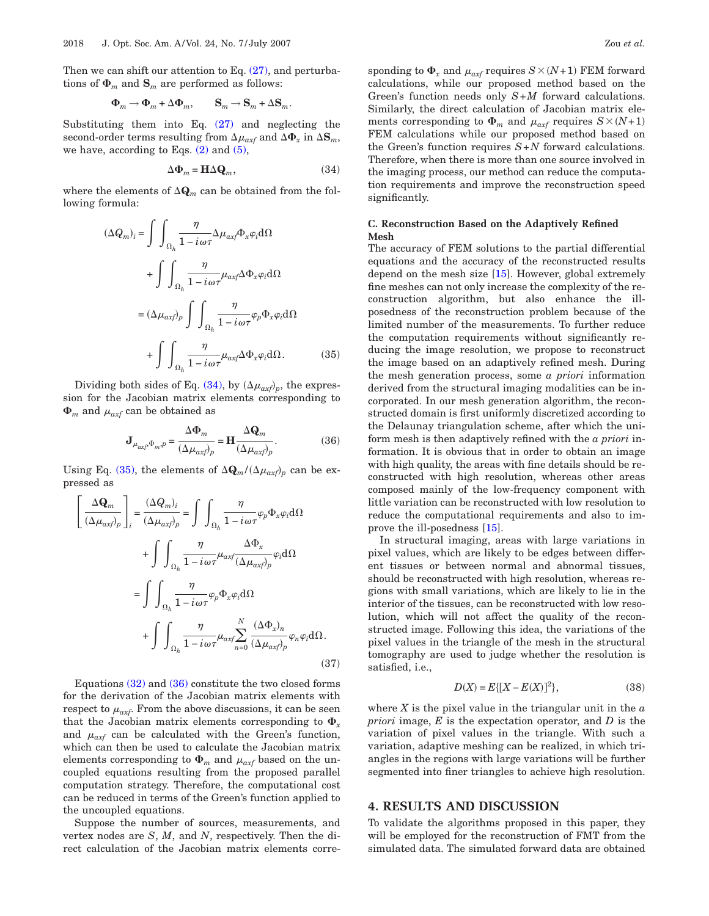Then we can shift our attention to Eq.  $(27)$ , and perturbations of  $\Phi_m$  and  $\mathbf{S}_m$  are performed as follows:

$$
\Phi_m \to \Phi_m + \Delta \Phi_m, \qquad \mathbf{S}_m \to \mathbf{S}_m + \Delta \mathbf{S}_m.
$$

Substituting them into Eq.  $(27)$  and neglecting the second-order terms resulting from  $\Delta \mu_{\alpha x f}$  and  $\Delta \Phi_x$  in  $\Delta \mathbf{S}_m$ , we have, according to Eqs.  $(2)$  and  $(5)$ ,

$$
\Delta \Phi_m = \mathbf{H} \Delta \mathbf{Q}_m, \tag{34}
$$

<span id="page-4-1"></span><span id="page-4-0"></span>where the elements of  $\Delta \mathbf{Q}_m$  can be obtained from the following formula:

$$
(\Delta Q_m)_i = \int \int_{\Omega_h} \frac{\eta}{1 - i\omega \tau} \Delta \mu_{axf} \Phi_x \varphi_i d\Omega
$$
  
+ 
$$
\int \int_{\Omega_h} \frac{\eta}{1 - i\omega \tau} \mu_{axf} \Delta \Phi_x \varphi_i d\Omega
$$
  
= 
$$
(\Delta \mu_{axf})_p \int \int_{\Omega_h} \frac{\eta}{1 - i\omega \tau} \varphi_p \Phi_x \varphi_i d\Omega
$$
  
+ 
$$
\int \int_{\Omega_h} \frac{\eta}{1 - i\omega \tau} \mu_{axf} \Delta \Phi_x \varphi_i d\Omega.
$$
 (35)

<span id="page-4-2"></span>Dividing both sides of Eq.  $(34)$ , by  $(\Delta \mu_{axf})_p$ , the expression for the Jacobian matrix elements corresponding to  $\Phi_m$  and  $\mu_{\alpha x f}$  can be obtained as

$$
\mathbf{J}_{\mu_{axf},\Phi_{m},p} = \frac{\Delta \Phi_m}{(\Delta \mu_{axf})_p} = \mathbf{H} \frac{\Delta \mathbf{Q}_m}{(\Delta \mu_{axf})_p}.
$$
 (36)

Using Eq. [\(35\),](#page-4-1) the elements of  $\Delta \mathbf{Q}_m / (\Delta \mu_{axf})_p$  can be expressed as

$$
\left[\frac{\Delta \mathbf{Q}_m}{(\Delta \mu_{axf})_p}\right]_i = \frac{(\Delta Q_m)_i}{(\Delta \mu_{axf})_p} = \int \int_{\Omega_h} \frac{\eta}{1 - i\omega \tau} \varphi_p \Phi_x \varphi_i d\Omega
$$

$$
+ \int \int_{\Omega_h} \frac{\eta}{1 - i\omega \tau} \mu_{axf} \frac{\Delta \Phi_x}{(\Delta \mu_{axf})_p} \varphi_i d\Omega
$$

$$
= \int \int_{\Omega_h} \frac{\eta}{1 - i\omega \tau} \varphi_p \Phi_x \varphi_i d\Omega
$$

$$
+ \int \int_{\Omega_h} \frac{\eta}{1 - i\omega \tau} \mu_{axf} \sum_{n=0}^N \frac{(\Delta \Phi_x)_n}{(\Delta \mu_{axf})_p} \varphi_n \varphi_i d\Omega.
$$
(37)

Equations [\(32\)](#page-3-2) and [\(36\)](#page-4-2) constitute the two closed forms for the derivation of the Jacobian matrix elements with respect to  $\mu_{\alpha x}$ . From the above discussions, it can be seen that the Jacobian matrix elements corresponding to  $\Phi_x$ and  $\mu_{\alpha x f}$  can be calculated with the Green's function, which can then be used to calculate the Jacobian matrix elements corresponding to  $\Phi_m$  and  $\mu_{\alpha x f}$  based on the uncoupled equations resulting from the proposed parallel computation strategy. Therefore, the computational cost can be reduced in terms of the Green's function applied to the uncoupled equations.

Suppose the number of sources, measurements, and vertex nodes are *S*, *M*, and *N*, respectively. Then the direct calculation of the Jacobian matrix elements corre-

sponding to  $\Phi_x$  and  $\mu_{axf}$  requires  $S \times (N+1)$  FEM forward calculations, while our proposed method based on the Green's function needs only *S*+*M* forward calculations. Similarly, the direct calculation of Jacobian matrix elements corresponding to  $\Phi_m$  and  $\mu_{\alpha x f}$  requires  $S \times (N+1)$ FEM calculations while our proposed method based on the Green's function requires *S*+*N* forward calculations. Therefore, when there is more than one source involved in the imaging process, our method can reduce the computation requirements and improve the reconstruction speed significantly.

### **C. Reconstruction Based on the Adaptively Refined Mesh**

The accuracy of FEM solutions to the partial differential equations and the accuracy of the reconstructed results depend on the mesh size [\[15\]](#page-8-14). However, global extremely fine meshes can not only increase the complexity of the reconstruction algorithm, but also enhance the illposedness of the reconstruction problem because of the limited number of the measurements. To further reduce the computation requirements without significantly reducing the image resolution, we propose to reconstruct the image based on an adaptively refined mesh. During the mesh generation process, some *a priori* information derived from the structural imaging modalities can be incorporated. In our mesh generation algorithm, the reconstructed domain is first uniformly discretized according to the Delaunay triangulation scheme, after which the uniform mesh is then adaptively refined with the *a priori* information. It is obvious that in order to obtain an image with high quality, the areas with fine details should be reconstructed with high resolution, whereas other areas composed mainly of the low-frequency component with little variation can be reconstructed with low resolution to reduce the computational requirements and also to improve the ill-posedness [\[15\]](#page-8-14).

In structural imaging, areas with large variations in pixel values, which are likely to be edges between different tissues or between normal and abnormal tissues, should be reconstructed with high resolution, whereas regions with small variations, which are likely to lie in the interior of the tissues, can be reconstructed with low resolution, which will not affect the quality of the reconstructed image. Following this idea, the variations of the pixel values in the triangle of the mesh in the structural tomography are used to judge whether the resolution is satisfied, i.e.,

$$
D(X) = E\{ [X - E(X)]^2 \},
$$
\n(38)

where *X* is the pixel value in the triangular unit in the *a priori* image, *E* is the expectation operator, and *D* is the variation of pixel values in the triangle. With such a variation, adaptive meshing can be realized, in which triangles in the regions with large variations will be further segmented into finer triangles to achieve high resolution.

## **4. RESULTS AND DISCUSSION**

To validate the algorithms proposed in this paper, they will be employed for the reconstruction of FMT from the simulated data. The simulated forward data are obtained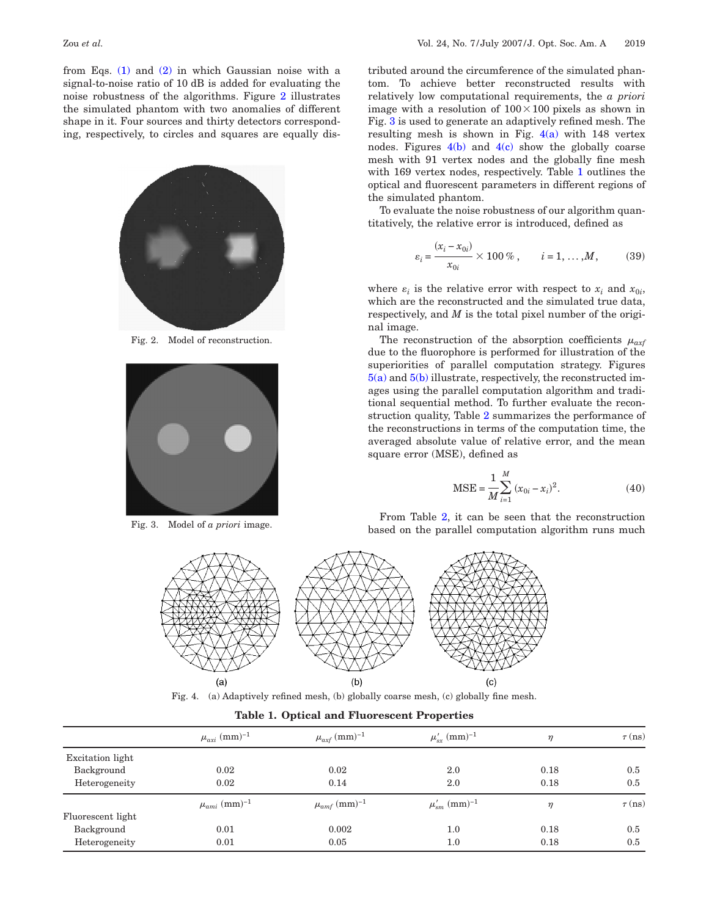from Eqs. [\(1\)](#page-1-1) and [\(2\)](#page-1-2) in which Gaussian noise with a signal-to-noise ratio of 10 dB is added for evaluating the noise robustness of the algorithms. Figure [2](#page-5-0) illustrates the simulated phantom with two anomalies of different shape in it. Four sources and thirty detectors corresponding, respectively, to circles and squares are equally dis-

<span id="page-5-0"></span>

Fig. 2. Model of reconstruction.

<span id="page-5-1"></span>

<span id="page-5-2"></span>Fig. 3. Model of *a priori* image.

tributed around the circumference of the simulated phantom. To achieve better reconstructed results with relatively low computational requirements, the *a priori* image with a resolution of  $100 \times 100$  pixels as shown in Fig. [3](#page-5-1) is used to generate an adaptively refined mesh. The resulting mesh is shown in Fig.  $4(a)$  with 148 vertex nodes. Figures  $4(b)$  and  $4(c)$  show the globally coarse mesh with 91 vertex nodes and the globally fine mesh with 169 vertex nodes, respectively. Table [1](#page-5-3) outlines the optical and fluorescent parameters in different regions of the simulated phantom.

To evaluate the noise robustness of our algorithm quantitatively, the relative error is introduced, defined as

$$
\varepsilon_i = \frac{(x_i - x_{0i})}{x_{0i}} \times 100\,\%, \qquad i = 1, ..., M,
$$
 (39)

where  $\varepsilon_i$  is the relative error with respect to  $x_i$  and  $x_{0i}$ , which are the reconstructed and the simulated true data, respectively, and *M* is the total pixel number of the original image.

The reconstruction of the absorption coefficients  $\mu_{\alpha x f}$ due to the fluorophore is performed for illustration of the superiorities of parallel computation strategy. Figures [5\(a\)](#page-6-0) and [5\(b\)](#page-6-0) illustrate, respectively, the reconstructed images using the parallel computation algorithm and traditional sequential method. To further evaluate the reconstruction quality, Table [2](#page-6-1) summarizes the performance of the reconstructions in terms of the computation time, the averaged absolute value of relative error, and the mean square error (MSE), defined as

$$
MSE = \frac{1}{M} \sum_{i=1}^{M} (x_{0i} - x_i)^2.
$$
 (40)

From Table [2,](#page-6-1) it can be seen that the reconstruction based on the parallel computation algorithm runs much



Fig. 4. (a) Adaptively refined mesh, (b) globally coarse mesh, (c) globally fine mesh.

|  |  |  |  | <b>Table 1. Optical and Fluorescent Properties</b> |  |
|--|--|--|--|----------------------------------------------------|--|
|--|--|--|--|----------------------------------------------------|--|

<span id="page-5-3"></span>

|                   | $\mu_{axi}$ (mm) <sup>-1</sup> | $\mu_{axf}$ (mm) <sup>-1</sup> | $\mu'_{sr}$ (mm) <sup>-1</sup>       | $\eta$ | $\tau$ (ns) |
|-------------------|--------------------------------|--------------------------------|--------------------------------------|--------|-------------|
| Excitation light  |                                |                                |                                      |        |             |
| Background        | 0.02                           | 0.02                           | 2.0                                  | 0.18   | 0.5         |
| Heterogeneity     | 0.02                           | 0.14                           | 2.0                                  | 0.18   | 0.5         |
|                   | $\mu_{ami}~(\textrm{mm})^{-1}$ | $\mu_{amf}$ (mm) <sup>-1</sup> | $\mu_{sm}^\prime~(\mathrm{mm})^{-1}$ | $\eta$ | $\tau$ (ns) |
| Fluorescent light |                                |                                |                                      |        |             |
| Background        | 0.01                           | 0.002                          | $1.0\,$                              | 0.18   | 0.5         |
| Heterogeneity     | 0.01                           | 0.05                           | $1.0\,$                              | 0.18   | 0.5         |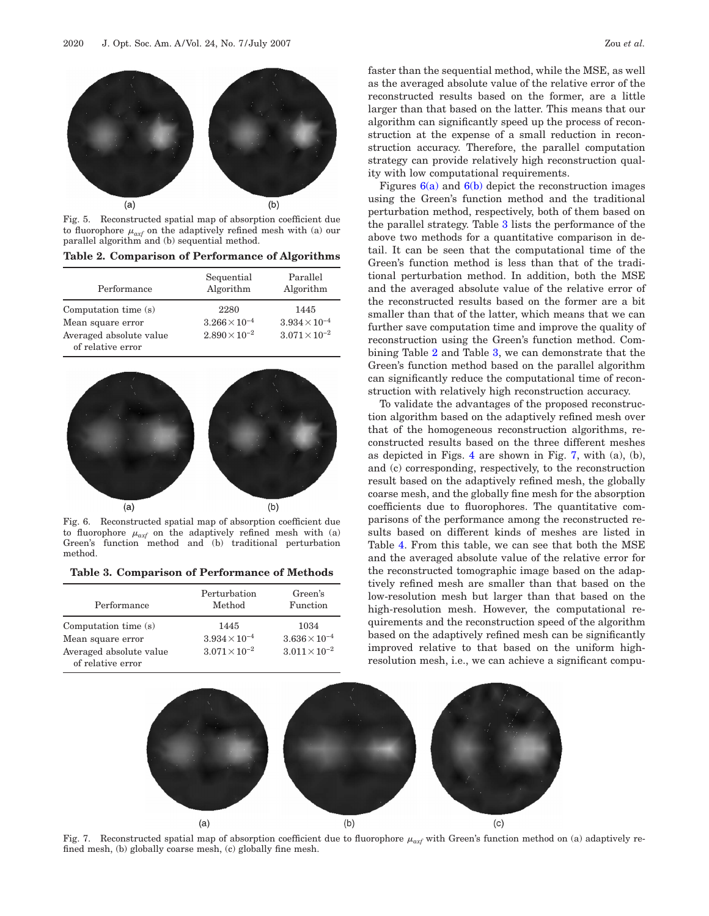<span id="page-6-0"></span>

Fig. 5. Reconstructed spatial map of absorption coefficient due to fluorophore  $\mu_{\text{ext}}$  on the adaptively refined mesh with (a) our parallel algorithm and (b) sequential method.

<span id="page-6-1"></span>**Table 2. Comparison of Performance of Algorithms**

| Performance                                                                               | Sequential<br>Algorithm                                  | Parallel<br>Algorithm                                    |
|-------------------------------------------------------------------------------------------|----------------------------------------------------------|----------------------------------------------------------|
| Computation time (s)<br>Mean square error<br>Averaged absolute value<br>of relative error | 2280<br>$3.266 \times 10^{-4}$<br>$2.890 \times 10^{-2}$ | 1445<br>$3.934 \times 10^{-4}$<br>$3.071 \times 10^{-2}$ |

<span id="page-6-2"></span>

Fig. 6. Reconstructed spatial map of absorption coefficient due to fluorophore  $\mu_{\alpha x f}$  on the adaptively refined mesh with (a) Green's function method and (b) traditional perturbation function method and (b) traditional perturbation method.

<span id="page-6-3"></span>**Table 3. Comparison of Performance of Methods**

| Performance                                  | Perturbation<br>Method | Green's<br>Function    |
|----------------------------------------------|------------------------|------------------------|
| Computation time (s)                         | 1445                   | 1034                   |
| Mean square error                            | $3.934 \times 10^{-4}$ | $3.636 \times 10^{-4}$ |
| Averaged absolute value<br>of relative error | $3.071 \times 10^{-2}$ | $3.011 \times 10^{-2}$ |

faster than the sequential method, while the MSE, as well as the averaged absolute value of the relative error of the reconstructed results based on the former, are a little larger than that based on the latter. This means that our algorithm can significantly speed up the process of reconstruction at the expense of a small reduction in reconstruction accuracy. Therefore, the parallel computation strategy can provide relatively high reconstruction quality with low computational requirements.

Figures  $6(a)$  and  $6(b)$  depict the reconstruction images using the Green's function method and the traditional perturbation method, respectively, both of them based on the parallel strategy. Table [3](#page-6-3) lists the performance of the above two methods for a quantitative comparison in detail. It can be seen that the computational time of the Green's function method is less than that of the traditional perturbation method. In addition, both the MSE and the averaged absolute value of the relative error of the reconstructed results based on the former are a bit smaller than that of the latter, which means that we can further save computation time and improve the quality of reconstruction using the Green's function method. Combining Table [2](#page-6-1) and Table [3,](#page-6-3) we can demonstrate that the Green's function method based on the parallel algorithm can significantly reduce the computational time of reconstruction with relatively high reconstruction accuracy.

To validate the advantages of the proposed reconstruction algorithm based on the adaptively refined mesh over that of the homogeneous reconstruction algorithms, reconstructed results based on the three different meshes as depicted in Figs. [4](#page-5-2) are shown in Fig. [7,](#page-6-4) with (a), (b), and (c) corresponding, respectively, to the reconstruction result based on the adaptively refined mesh, the globally coarse mesh, and the globally fine mesh for the absorption coefficients due to fluorophores. The quantitative comparisons of the performance among the reconstructed results based on different kinds of meshes are listed in Table [4.](#page-7-0) From this table, we can see that both the MSE and the averaged absolute value of the relative error for the reconstructed tomographic image based on the adaptively refined mesh are smaller than that based on the low-resolution mesh but larger than that based on the high-resolution mesh. However, the computational requirements and the reconstruction speed of the algorithm based on the adaptively refined mesh can be significantly improved relative to that based on the uniform highresolution mesh, i.e., we can achieve a significant compu-

<span id="page-6-4"></span>

Fig. 7. Reconstructed spatial map of absorption coefficient due to fluorophore  $\mu_{axf}$  with Green's function method on (a) adaptively refined mesh, (b) globally coarse mesh, (c) globally fine mesh.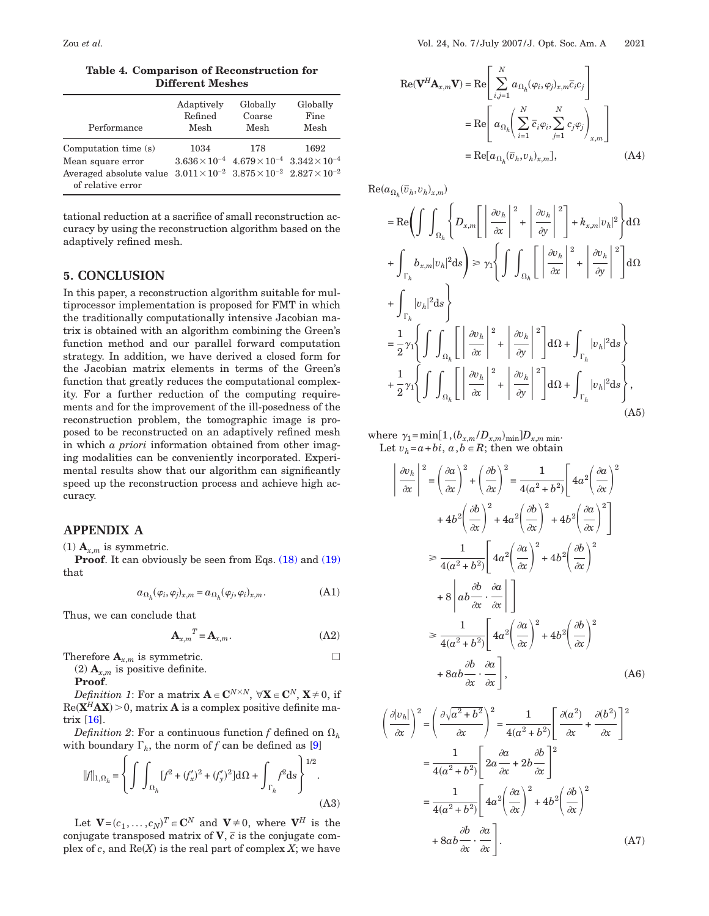<span id="page-7-0"></span>

| Performance                                                                                                                                                    | Adaptively | Globally                                                                    | Globally |
|----------------------------------------------------------------------------------------------------------------------------------------------------------------|------------|-----------------------------------------------------------------------------|----------|
|                                                                                                                                                                | Refined    | Coarse                                                                      | Fine     |
|                                                                                                                                                                | Mesh       | Mesh                                                                        | Mesh     |
| Computation time (s)<br>Mean square error<br>Averaged absolute value $3.011 \times 10^{-2}$ $3.875 \times 10^{-2}$ $2.827 \times 10^{-2}$<br>of relative error | 1034       | 178<br>$3.636 \times 10^{-4}$ $4.679 \times 10^{-4}$ $3.342 \times 10^{-4}$ | 1692     |

tational reduction at a sacrifice of small reconstruction accuracy by using the reconstruction algorithm based on the adaptively refined mesh.

# **5. CONCLUSION**

In this paper, a reconstruction algorithm suitable for multiprocessor implementation is proposed for FMT in which the traditionally computationally intensive Jacobian matrix is obtained with an algorithm combining the Green's function method and our parallel forward computation strategy. In addition, we have derived a closed form for the Jacobian matrix elements in terms of the Green's function that greatly reduces the computational complexity. For a further reduction of the computing requirements and for the improvement of the ill-posedness of the reconstruction problem, the tomographic image is proposed to be reconstructed on an adaptively refined mesh in which *a priori* information obtained from other imaging modalities can be conveniently incorporated. Experimental results show that our algorithm can significantly speed up the reconstruction process and achieve high accuracy.

# **APPENDIX A**

(1)  $\mathbf{A}_{x,m}$  is symmetric.

**Proof.** It can obviously be seen from Eqs. [\(18\)](#page-2-11) and [\(19\)](#page-2-3) that

$$
a_{\Omega_h}(\varphi_i, \varphi_j)_{x,m} = a_{\Omega_h}(\varphi_j, \varphi_i)_{x,m}.
$$
 (A1)

Thus, we can conclude that

$$
\mathbf{A}_{x,m}^T = \mathbf{A}_{x,m}.\tag{A2}
$$

Therefore  $\mathbf{A}_{x,m}$  is symmetric.

(2)  $\mathbf{A}_{x,m}$  is positive definite.

**Proof**.

*Definition 1*: For a matrix  $\mathbf{A} \in \mathbf{C}^{N \times N}$ ,  $\forall \mathbf{X} \in \mathbf{C}^{N}$ ,  $\mathbf{X} \neq 0$ , if  $Re(X^H A X) > 0$ , matrix **A** is a complex positive definite matrix [\[16\]](#page-8-15).

<span id="page-7-3"></span>*Definition 2*: For a continuous function *f* defined on  $\Omega_h$ with boundary  $\Gamma_h$ , the norm of *f* can be defined as [\[9\]](#page-8-8)

$$
\|f\|_{1,\Omega_h} = \left\{ \int \int_{\Omega_h} [f^2 + (f'_x)^2 + (f'_y)^2] d\Omega + \int_{\Gamma_h} f^2 ds \right\}^{1/2}.
$$
\n(A3)

Let  $\mathbf{V} = (c_1, \ldots, c_N)^T \in \mathbf{C}^N$  and  $\mathbf{V} \neq 0$ , where  $\mathbf{V}^H$  is the conjugate transposed matrix of  $V$ ,  $\bar{c}$  is the conjugate complex of  $c$ , and  $\text{Re}(X)$  is the real part of complex  $X$ ; we have

<span id="page-7-2"></span>
$$
\operatorname{Re}(\mathbf{V}^{H}\mathbf{A}_{x,m}\mathbf{V}) = \operatorname{Re}\left[\sum_{i,j=1}^{N} a_{\Omega_{h}}(\varphi_{i}, \varphi_{j})_{x,m}\overline{c}_{i}c_{j}\right]
$$

$$
= \operatorname{Re}\left[a_{\Omega_{h}}\left(\sum_{i=1}^{N} \overline{c}_{i}\varphi_{i}, \sum_{j=1}^{N} c_{j}\varphi_{j}\right)_{x,m}\right]
$$

$$
= \operatorname{Re}[a_{\Omega_{h}}(\overline{v}_{h}, v_{h})_{x,m}], \qquad (A4)
$$

 $\text{Re}(a_{\Omega_h}(\overline{v}_h, v_h)_{x,m})$ 

 $\begin{array}{c} \hline \end{array}$ 

$$
= \text{Re}\left(\int \int_{\Omega_h} \left\{D_{x,m} \left[\left|\frac{\partial v_h}{\partial x}\right|^2 + \left|\frac{\partial v_h}{\partial y}\right|^2\right] + k_{x,m} |v_h|^2\right\} d\Omega
$$
  
+ 
$$
\int_{\Gamma_h} b_{x,m} |v_h|^2 ds \right\} \ge \gamma_1 \left\{\int \int_{\Omega_h} \left[\left|\frac{\partial v_h}{\partial x}\right|^2 + \left|\frac{\partial v_h}{\partial y}\right|^2\right] d\Omega
$$
  
+ 
$$
\int_{\Gamma_h} |v_h|^2 ds \right\}
$$
  
= 
$$
\frac{1}{2} \gamma_1 \left\{\int \int_{\Omega_h} \left[\left|\frac{\partial v_h}{\partial x}\right|^2 + \left|\frac{\partial v_h}{\partial y}\right|^2\right] d\Omega + \int_{\Gamma_h} |v_h|^2 ds \right\}
$$
  
+ 
$$
\frac{1}{2} \gamma_1 \left\{\int \int_{\Omega_h} \left[\left|\frac{\partial v_h}{\partial x}\right|^2 + \left|\frac{\partial v_h}{\partial y}\right|^2\right] d\Omega + \int_{\Gamma_h} |v_h|^2 ds \right\}, \tag{A5}
$$

<span id="page-7-1"></span>where  $\gamma_1 = \min[1, (b_{x,m}/D_{x,m})_{\min}]D_{x,m \min}$ . Let  $v_h = a + bi$ ,  $a, b \in R$ ; then we obtain

$$
\frac{\partial v_h}{\partial x} \bigg|^{2} = \left(\frac{\partial a}{\partial x}\right)^{2} + \left(\frac{\partial b}{\partial x}\right)^{2} = \frac{1}{4(a^{2} + b^{2})} \bigg[ 4a^{2} \bigg(\frac{\partial a}{\partial x}\bigg)^{2}
$$

$$
+ 4b^{2} \bigg(\frac{\partial b}{\partial x}\bigg)^{2} + 4a^{2} \bigg(\frac{\partial b}{\partial x}\bigg)^{2} + 4b^{2} \bigg(\frac{\partial a}{\partial x}\bigg)^{2}
$$

$$
\geq \frac{1}{4(a^{2} + b^{2})} \bigg[ 4a^{2} \bigg(\frac{\partial a}{\partial x}\bigg)^{2} + 4b^{2} \bigg(\frac{\partial b}{\partial x}\bigg)^{2}
$$

$$
+ 8 \bigg[ ab \frac{\partial b}{\partial x} \cdot \frac{\partial a}{\partial x} \bigg] \bigg]
$$

$$
\geq \frac{1}{4(a^{2} + b^{2})} \bigg[ 4a^{2} \bigg(\frac{\partial a}{\partial x}\bigg)^{2} + 4b^{2} \bigg(\frac{\partial b}{\partial x}\bigg)^{2}
$$

$$
+ 8ab \frac{\partial b}{\partial x} \cdot \frac{\partial a}{\partial x} \bigg], \qquad (A6)
$$

$$
\left(\frac{\partial |v_h|}{\partial x}\right)^2 = \left(\frac{\partial \sqrt{a^2 + b^2}}{\partial x}\right)^2 = \frac{1}{4(a^2 + b^2)} \left[\frac{\partial (a^2)}{\partial x} + \frac{\partial (b^2)}{\partial x}\right]^2
$$

$$
= \frac{1}{4(a^2 + b^2)} \left[2a\frac{\partial a}{\partial x} + 2b\frac{\partial b}{\partial x}\right]^2
$$

$$
= \frac{1}{4(a^2 + b^2)} \left[4a^2 \left(\frac{\partial a}{\partial x}\right)^2 + 4b^2 \left(\frac{\partial b}{\partial x}\right)^2\right]
$$

$$
+ 8ab\frac{\partial b}{\partial x} \cdot \frac{\partial a}{\partial x} \left.\right]. \tag{A7}
$$